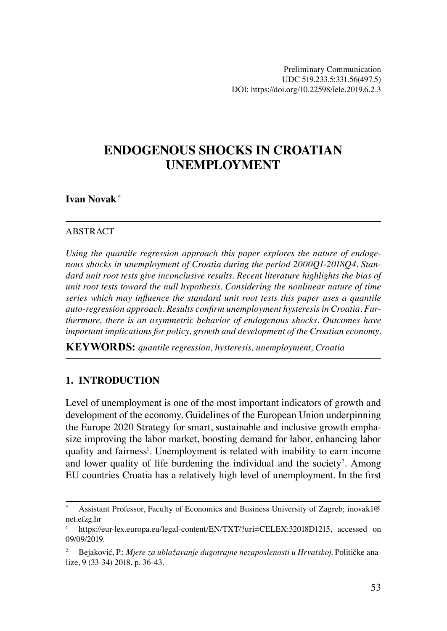# **ENDOGENOUS SHOCKS IN CROATIAN UNEMPLOYMENT**

### **Ivan Novak** \*

#### ABSTRACT

*Using the quantile regression approach this paper explores the nature of endogenous shocks in unemployment of Croatia during the period 2000Q1-2018Q4. Standard unit root tests give inconclusive results. Recent literature highlights the bias of unit root tests toward the null hypothesis. Considering the nonlinear nature of time series which may influence the standard unit root tests this paper uses a quantile auto-regression approach. Results confirm unemployment hysteresis in Croatia. Furthermore, there is an asymmetric behavior of endogenous shocks. Outcomes have important implications for policy, growth and development of the Croatian economy.* 

**KEYWORDS:** *quantile regression, hysteresis, unemployment, Croatia*

#### **1. INTRODUCTION**

Level of unemployment is one of the most important indicators of growth and development of the economy. Guidelines of the European Union underpinning the Europe 2020 Strategy for smart, sustainable and inclusive growth emphasize improving the labor market, boosting demand for labor, enhancing labor quality and fairness<sup>1</sup>. Unemployment is related with inability to earn income and lower quality of life burdening the individual and the society<sup>2</sup>. Among EU countries Croatia has a relatively high level of unemployment. In the first

Assistant Professor, Faculty of Economics and Business University of Zagreb; inovak1@ net.efzg.hr

<sup>1</sup> https://eur-lex.europa.eu/legal-content/EN/TXT/?uri=CELEX:32018D1215, accessed on 09/09/2019.

<sup>2</sup> Bejaković, P.: *Mjere za ublažavanje dugotrajne nezaposlenosti u Hrvatskoj*. Političke analize, 9 (33-34) 2018, p. 36-43.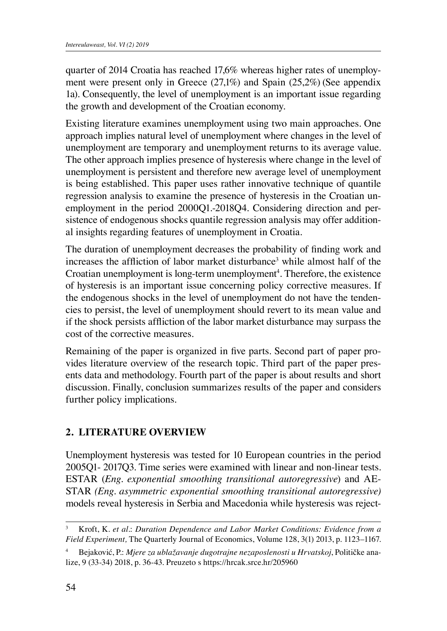quarter of 2014 Croatia has reached 17,6% whereas higher rates of unemployment were present only in Greece (27,1%) and Spain (25,2%) (See appendix 1a). Consequently, the level of unemployment is an important issue regarding the growth and development of the Croatian economy.

Existing literature examines unemployment using two main approaches. One approach implies natural level of unemployment where changes in the level of unemployment are temporary and unemployment returns to its average value. The other approach implies presence of hysteresis where change in the level of unemployment is persistent and therefore new average level of unemployment is being established. This paper uses rather innovative technique of quantile regression analysis to examine the presence of hysteresis in the Croatian unemployment in the period 2000Q1.-2018Q4. Considering direction and persistence of endogenous shocks quantile regression analysis may offer additional insights regarding features of unemployment in Croatia.

The duration of unemployment decreases the probability of finding work and increases the affliction of labor market disturbance<sup>3</sup> while almost half of the Croatian unemployment is long-term unemployment<sup>4</sup>. Therefore, the existence of hysteresis is an important issue concerning policy corrective measures. If the endogenous shocks in the level of unemployment do not have the tendencies to persist, the level of unemployment should revert to its mean value and if the shock persists affliction of the labor market disturbance may surpass the cost of the corrective measures.

Remaining of the paper is organized in five parts. Second part of paper provides literature overview of the research topic. Third part of the paper presents data and methodology. Fourth part of the paper is about results and short discussion. Finally, conclusion summarizes results of the paper and considers further policy implications.

### **2. LITERATURE OVERVIEW**

Unemployment hysteresis was tested for 10 European countries in the period 2005Q1- 2017Q3. Time series were examined with linear and non-linear tests. ESTAR (*Eng. exponential smoothing transitional autoregressive*) and AE-STAR *(Eng. asymmetric exponential smoothing transitional autoregressive)* models reveal hysteresis in Serbia and Macedonia while hysteresis was reject-

<sup>3</sup> Kroft, K. *et al*.: *Duration Dependence and Labor Market Conditions: Evidence from a Field Experiment,* The Quarterly Journal of Economics, Volume 128, 3(1) 2013, p. 1123–1167.

<sup>4</sup> Bejaković, P.: *Mjere za ublažavanje dugotrajne nezaposlenosti u Hrvatskoj*, Političke analize, 9 (33-34) 2018, p. 36-43. Preuzeto s https://hrcak.srce.hr/205960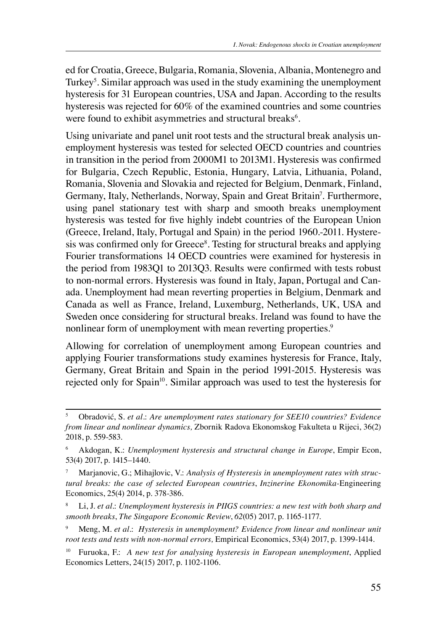ed for Croatia, Greece, Bulgaria, Romania, Slovenia, Albania, Montenegro and Turkey<sup>5</sup>. Similar approach was used in the study examining the unemployment hysteresis for 31 European countries, USA and Japan. According to the results hysteresis was rejected for 60% of the examined countries and some countries were found to exhibit asymmetries and structural breaks<sup>6</sup>.

Using univariate and panel unit root tests and the structural break analysis unemployment hysteresis was tested for selected OECD countries and countries in transition in the period from 2000M1 to 2013M1. Hysteresis was confirmed for Bulgaria, Czech Republic, Estonia, Hungary, Latvia, Lithuania, Poland, Romania, Slovenia and Slovakia and rejected for Belgium, Denmark, Finland, Germany, Italy, Netherlands, Norway, Spain and Great Britain<sup>7</sup>. Furthermore, using panel stationary test with sharp and smooth breaks unemployment hysteresis was tested for five highly indebt countries of the European Union (Greece, Ireland, Italy, Portugal and Spain) in the period 1960.-2011. Hysteresis was confirmed only for Greece<sup>8</sup>. Testing for structural breaks and applying Fourier transformations 14 OECD countries were examined for hysteresis in the period from 1983Q1 to 2013Q3. Results were confirmed with tests robust to non-normal errors. Hysteresis was found in Italy, Japan, Portugal and Canada. Unemployment had mean reverting properties in Belgium, Denmark and Canada as well as France, Ireland, Luxemburg, Netherlands, UK, USA and Sweden once considering for structural breaks. Ireland was found to have the nonlinear form of unemployment with mean reverting properties.<sup>9</sup>

Allowing for correlation of unemployment among European countries and applying Fourier transformations study examines hysteresis for France, Italy, Germany, Great Britain and Spain in the period 1991-2015. Hysteresis was rejected only for Spain<sup>10</sup>. Similar approach was used to test the hysteresis for

<sup>5</sup> Obradović, S. *et al.*: *Are unemployment rates stationary for SEE10 countries? Evidence from linear and nonlinear dynamics,* Zbornik Radova Ekonomskog Fakulteta u Rijeci, 36(2) 2018, p. 559-583.

<sup>6</sup> Akdogan, K.: *Unemployment hysteresis and structural change in Europe*, Empir Econ, 53(4) 2017, p. 1415–1440.

Marjanovic, G.; Mihajlovic, V.: Analysis of Hysteresis in unemployment rates with struc*tural breaks: the case of selected European countries*, *Inzinerine Ekonomika-*Engineering Economics, 25(4) 2014, p. 378-386.

<sup>8</sup> Li, J. *et al*.: *Unemployment hysteresis in PIIGS countries: a new test with both sharp and smooth breaks*, *The Singapore Economic Review*, *62*(05) 2017, p. 1165-1177.

<sup>9</sup> Meng, M. *et al*.: *Hysteresis in unemployment? Evidence from linear and nonlinear unit root tests and tests with non-normal errors,* Empirical Economics, 53(4) 2017, p. 1399-1414.

<sup>10</sup> Furuoka, F.: *A new test for analysing hysteresis in European unemployment*, Applied Economics Letters, 24(15) 2017, p. 1102-1106.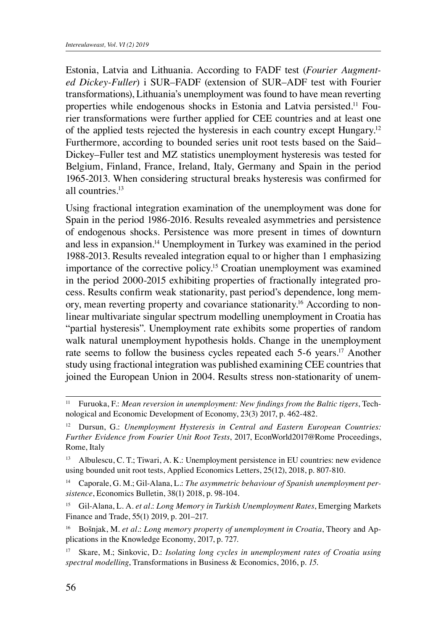Estonia, Latvia and Lithuania. According to FADF test (*Fourier Augmented Dickey-Fuller*) i SUR–FADF (extension of SUR–ADF test with Fourier transformations), Lithuania's unemployment was found to have mean reverting properties while endogenous shocks in Estonia and Latvia persisted.11 Fourier transformations were further applied for CEE countries and at least one of the applied tests rejected the hysteresis in each country except Hungary.12 Furthermore, according to bounded series unit root tests based on the Said– Dickey–Fuller test and MZ statistics unemployment hysteresis was tested for Belgium, Finland, France, Ireland, Italy, Germany and Spain in the period 1965-2013. When considering structural breaks hysteresis was confirmed for all countries.13

Using fractional integration examination of the unemployment was done for Spain in the period 1986-2016. Results revealed asymmetries and persistence of endogenous shocks. Persistence was more present in times of downturn and less in expansion.14 Unemployment in Turkey was examined in the period 1988-2013. Results revealed integration equal to or higher than 1 emphasizing importance of the corrective policy.<sup>15</sup> Croatian unemployment was examined in the period 2000-2015 exhibiting properties of fractionally integrated process. Results confirm weak stationarity, past period's dependence, long memory, mean reverting property and covariance stationarity.16 According to nonlinear multivariate singular spectrum modelling unemployment in Croatia has "partial hysteresis". Unemployment rate exhibits some properties of random walk natural unemployment hypothesis holds. Change in the unemployment rate seems to follow the business cycles repeated each 5-6 years.<sup>17</sup> Another study using fractional integration was published examining CEE countries that joined the European Union in 2004. Results stress non-stationarity of unem-

<sup>11</sup> Furuoka, F.: *Mean reversion in unemployment: New findings from the Baltic tigers*, Technological and Economic Development of Economy, 23(3) 2017, p. 462-482.

<sup>12</sup> Dursun, G.: *Unemployment Hysteresis in Central and Eastern European Countries: Further Evidence from Fourier Unit Root Tests*, 2017, EconWorld2017@Rome Proceedings, Rome, Italy

<sup>13</sup> Albulescu, C. T.; Tiwari, A. K.: Unemployment persistence in EU countries: new evidence using bounded unit root tests, Applied Economics Letters, 25(12), 2018, p. 807-810.

<sup>14</sup> Caporale, G. M.; Gil-Alana, L.: *The asymmetric behaviour of Spanish unemployment persistence*, Economics Bulletin, 38(1) 2018, p. 98-104.

<sup>15</sup> Gil-Alana, L. A. *et al*.: *Long Memory in Turkish Unemployment Rates*, Emerging Markets Finance and Trade, 55(1) 2019, p. 201–217.

<sup>16</sup> Bošnjak, M. *et al.*: *Long memory property of unemployment in Croatia*, Theory and Applications in the Knowledge Economy, 2017, p. 727.

<sup>17</sup> Skare, M.; Sinkovic, D.: *Isolating long cycles in unemployment rates of Croatia using spectral modelling*, Transformations in Business & Economics, 2016, p. *15*.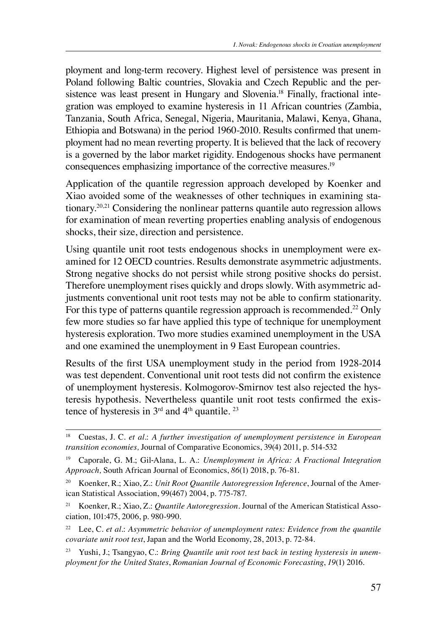ployment and long-term recovery. Highest level of persistence was present in Poland following Baltic countries, Slovakia and Czech Republic and the persistence was least present in Hungary and Slovenia.<sup>18</sup> Finally, fractional integration was employed to examine hysteresis in 11 African countries (Zambia, Tanzania, South Africa, Senegal, Nigeria, Mauritania, Malawi, Kenya, Ghana, Ethiopia and Botswana) in the period 1960-2010. Results confirmed that unemployment had no mean reverting property. It is believed that the lack of recovery is a governed by the labor market rigidity. Endogenous shocks have permanent consequences emphasizing importance of the corrective measures.19

Application of the quantile regression approach developed by Koenker and Xiao avoided some of the weaknesses of other techniques in examining stationary.20,21 Considering the nonlinear patterns quantile auto regression allows for examination of mean reverting properties enabling analysis of endogenous shocks, their size, direction and persistence.

Using quantile unit root tests endogenous shocks in unemployment were examined for 12 OECD countries. Results demonstrate asymmetric adjustments. Strong negative shocks do not persist while strong positive shocks do persist. Therefore unemployment rises quickly and drops slowly. With asymmetric adjustments conventional unit root tests may not be able to confirm stationarity. For this type of patterns quantile regression approach is recommended.<sup>22</sup> Only few more studies so far have applied this type of technique for unemployment hysteresis exploration. Two more studies examined unemployment in the USA and one examined the unemployment in 9 East European countries.

Results of the first USA unemployment study in the period from 1928-2014 was test dependent. Conventional unit root tests did not confirm the existence of unemployment hysteresis. Kolmogorov-Smirnov test also rejected the hysteresis hypothesis. Nevertheless quantile unit root tests confirmed the existence of hysteresis in  $3<sup>rd</sup>$  and  $4<sup>th</sup>$  quantile. <sup>23</sup>

<sup>18</sup> Cuestas, J. C. *et al*.: *A further investigation of unemployment persistence in European transition economies,* Journal of Comparative Economics, 39(4) 2011, p. 514-532

<sup>19</sup> Caporale, G. M.; Gil‐Alana, L. A.: *Unemployment in Africa: A Fractional Integration Approach,* South African Journal of Economics, *86*(1) 2018, p. 76-81.

<sup>20</sup> Koenker, R.; Xiao, Z.: *Unit Root Quantile Autoregression Inference*, Journal of the American Statistical Association, 99(467) 2004, p. 775-787.

<sup>21</sup> Koenker, R.; Xiao, Z.: *Quantile Autoregression.* Journal of the American Statistical Association, 101:475, 2006, p. 980-990.

<sup>&</sup>lt;sup>22</sup> Lee, C. et al.: Asymmetric behavior of unemployment rates: Evidence from the quantile *covariate unit root test*, Japan and the World Economy, 28, 2013, p. 72-84.

<sup>23</sup> Yushi, J.; Tsangyao, C.: *Bring Quantile unit root test back in testing hysteresis in unemployment for the United States*, *Romanian Journal of Economic Forecasting*, *19*(1) 2016.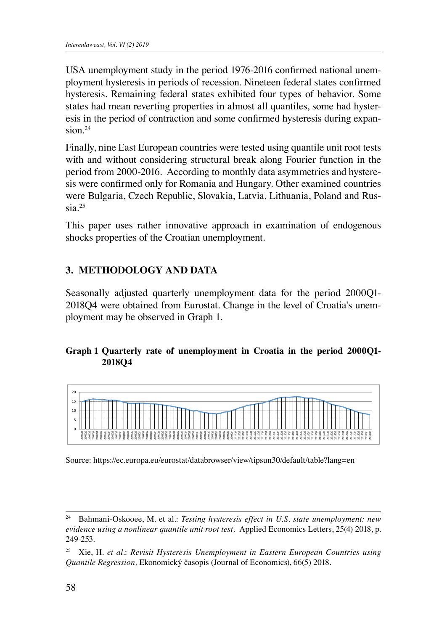USA unemployment study in the period 1976-2016 confirmed national unemployment hysteresis in periods of recession. Nineteen federal states confirmed hysteresis. Remaining federal states exhibited four types of behavior. Some states had mean reverting properties in almost all quantiles, some had hysteresis in the period of contraction and some confirmed hysteresis during expansion.24

Finally, nine East European countries were tested using quantile unit root tests with and without considering structural break along Fourier function in the period from 2000-2016. According to monthly data asymmetries and hysteresis were confirmed only for Romania and Hungary. Other examined countries were Bulgaria, Czech Republic, Slovakia, Latvia, Lithuania, Poland and Russia.25  $F_{\rm H}$  is east European countries were tested using  $F_{\rm H}$  and  $F_{\rm H}$  and  $F_{\rm H}$ 

This paper uses rather innovative approach in examination of endogenous shocks properties of the Croatian unemployment. Hungary. Other examined countries were Bulgaria, Czech Republic, Slovakia, Latvia,

### **3. METHODOLOGY AND DATA**

Seasonally adjusted quarterly unemployment data for the period 2000Q1- 2018Q4 were obtained from Eurostat. Change in the level of Croatia's unemployment may be observed in Graph 1.  $\mathcal{L}$ 

## **Graph 1 Quarterly rate of unemployment in Croatia in the period 2000Q1-** Graph 1. **2018Q4**



Source: https://ec.europa.eu/eurostat/databrowser/view/tipsun30/default/table?lang=en Source: https://ec.europa.eu/eurostat/databrowser/view/tipsun30/default/table?lang=en

<sup>&</sup>lt;sup>24</sup> Bahmani-Oskooee, M. et al.: *Testing hysteresis effect in U.S. state unemployment: new* evidence using a nonlinear quantile unit root test, Applied Economics Letters, 25(4) 2018, p. 249-253.  $(249-253)$ . Consequently entering the European Union and economic recovery (positive growth growth growth growth growth growth growth growth growth growth growth growth growth growth growth growth growth growth growth gr

<sup>&</sup>lt;sup>25</sup> Xie, H. *et al.: Revisit Hysteresis Unemployment in Eastern European Countries using* quantile Regression, Ekonomický časopis (Journal of Economics), 66(5) 2018.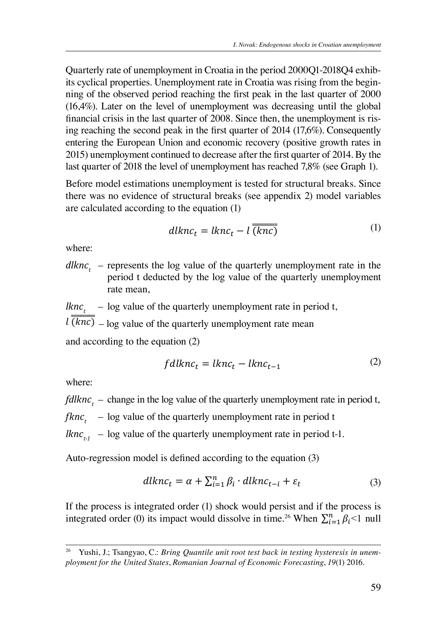Quarterly rate of unemployment in Croatia in the period 2000Q1-2018Q4 exhibits cyclical properties. Unemployment rate in Croatia was rising from the beginning of the observed period reaching the first peak in the last quarter of 2000  $(16,4\%)$ . Later on the level of unemployment was decreasing until the global financial crisis in the last quarter of 2008. Since then, the unemployment is rising reaching the second peak in the first quarter of 2014 (17,6%). Consequently entering the European Union and economic recovery (positive growth rates in 2015) unemployment continued to decrease after the first quarter of 2014. By the  $2013$  memployment continued to decrease after the first quarter of  $2014$ . By the last quarter of  $2018$  the level of unemployment has reached  $7,8\%$  (see Graph 1).

Before model estimations unemployment is tested for structural breaks. Since there was no evidence of structural breaks (see appendix 2) model variables  $\epsilon_{\text{max}}$  and  $\epsilon_{\text{max}}$  and  $\epsilon_{\text{max}}$  (1) are calculated according to the equation (1) Before model estimations unemployment is tested for structural breaks. Since

$$
dlknc_t = lknc_t - l(\overline{knc})
$$
 (1)

where:  $where:$ 

dlknc<sub>t</sub> – represents the log value of the quarterly unemployment rate in the equation (2) and according to the equation (2) and according to the equation (2) and  $\alpha$  is the equation (2) and  $\alpha$  is the equation (2) and  $\mu_{\text{ref}}$  represents the log value of the quarterly unemployment rate in the period t deducted by the log value of the quarterly unemployment rate mean, period value of the log value of the quarter

 $\frac{Rnc_t}{\sqrt{1-\frac{1}{n}}}$  – log value of the quarterly unemployment rate in period t,

 $\ell \overline{(knc)}$  – log value of the quarterly unemployment rate mean

and according to the equation (2)

$$
fdlknc_t = lknc_t - lknc_{t-1}
$$
 (2)

where:

 $fdlknc_t$  – change in the log value of the quarterly unemployment rate in period t,  $\alpha$  and  $\alpha$  value of the quarterly unchered the quarterly unchered the  $\alpha$ 

 $f knc_t$  – log value of the quarterly unemployment rate in period t

 $Rnc_{t_1}$  – log value of the quarterly unemployment rate in period t-1.

 $\mathcal{L}$  , change in the log value of the quarterly unchered the quarterly unchered the period to the period trace in period to the quarter  $\mathcal{L}$ Auto-regression model is defined according to the equation (3)

$$
dlknc_t = \alpha + \sum_{i=1}^n \beta_i \cdot dlknc_{t-i} + \varepsilon_t
$$
\n(3)

If the process is integrated order (1) shock would persist and If the process is<br>integrated order (0) its impact would dissolve in time.<sup>26</sup> When  $\sum_{i=1}^{n} \beta_i < 1$  null If the process is integrated order (1) shock would persist and if the process is If the process is integrated order (1) shock would persist and if the process is integrated order  $A_{\rm{max}}$  and  $A_{\rm{max}}$  is defined according to the equation (3) and equation (3) and  $3$ 

<sup>&</sup>lt;sup>20</sup> Yushi, J.; Tsangyao, C.: Bring Quantile unit root test back in testing hysteresis in unem-<br>ployment for the United States, Romanian Journal of Economic Forecasting, 19(1) 2016. <sup>26</sup> Yushi, J.; Tsangyao, C.: Bring Quantile unit root test back in testing hysteresis in unem- $\frac{1}{2}$  and  $\frac{1}{2}$  and  $\frac{1}{2}$  and  $\frac{1}{2}$  and  $\frac{1}{2}$  and  $\frac{1}{2}$  and  $\frac{1}{2}$  and  $\frac{1}{2}$  and  $\frac{1}{2}$  and  $\frac{1}{2}$  and  $\frac{1}{2}$  and  $\frac{1}{2}$  and  $\frac{1}{2}$  and  $\frac{1}{2}$  and  $\frac{1}{2}$  and  $\frac{1}{2}$  a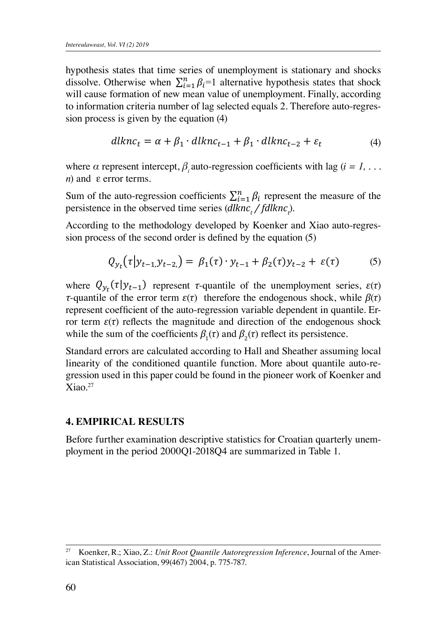If the process is integrated order (1) shock would persist and if the process is integrated order

hypothesis states that time series of unemployment is stationary and shocks dissolve. Otherwise when  $\sum_{i=1}^{n} \beta_i = 1$  alternative hypothesis states that shock will cause formation of new mean value of unemployment. Finally, according to information criteria number of lag selected equals 2. Therefore auto-regresregression process is given by the equation of  $\mathbf{S}$ sion process is given by the equation (4) and *a* represent  $\alpha$  *e i s e e automages* with *e* equation (*4*) of unexployed  $\alpha$  is stationary and shocks dissolve. Otherwise  $\alpha$  is  $\alpha$  is  $\alpha$  alternative and shocks discolvery and shocks of unemployed  $\alpha$ hypothesis states that the series of unemployment is stationary and shocks  $\Gamma_{n}^{n}$ 

$$
dlknc_t = \alpha + \beta_1 \cdot dlknc_{t-1} + \beta_1 \cdot dlknc_{t-2} + \varepsilon_t \tag{4}
$$

1 null hypothesis states that time states that time series that time series is that time series that the series

where  $\alpha$  represent intercept,  $\beta_i$  auto-regression coefficients with lag  $(i = 1, \ldots)$  $n \to \infty$  regression intercept,  $ρ<sub>i</sub>$  and  $ε$  error terms. where  $\alpha$  represent intercept,  $p_i$  anto-regression coerncients with lag  $\mu = 1, \ldots$ <br>*n*) and  $\epsilon$  error terms.  $\hat{B}$  and  $\hat{\epsilon}$  error terms.

Sum of the auto-regression coefficients  $\sum_{i=1}^{n} \beta_i$  represent the measure of the persistence in the observed time series  $(diknc_t / fdknc_t)$ .

According to the methodology developed by Koenker and Xiao auto-regression process of the second order is defined by the equation  $(5)$  $\sum_{i=1}^{n} a_i$  of  $\sum_{i=1}^{n} a_i$   $\sum_{i=1}^{n} a_i$   $\sum_{i=1}^{n} a_i$ 

$$
Q_{y_t}(\tau | y_{t-1,} y_{t-2,}) = \beta_1(\tau) \cdot y_{t-1} + \beta_2(\tau) y_{t-2} + \varepsilon(\tau) \tag{5}
$$

where  $Q_{y_t}(\tau | y_{t-1})$  represent *τ*-quantile of the unemployment series,  $\varepsilon(\tau)$ ror term  $\varepsilon(\tau)$  reflects the magnitude and direction of the endogenous shock<br>while the sum of the coefficients  $\theta(\tau)$  and  $\theta(\tau)$  reflect its parsistence. while the sum of the coefficients  $p_1(t)$  and  $p_2(t)$  reflect us persistence. *τ*-quantile of the error term  $\varepsilon(\tau)$  therefore the endogenous shock, while  $\beta(\tau)$ <br>*represent coefficient* of the auto-represent variable dependent in eventile. For represent coefficient of the auto-regression variable dependent in quantitie. En-<br>for term  $\varepsilon(\tau)$  reflects the magnitude and direction of the endogenous shock while the sum of the coefficients  $\beta_1(\tau)$  and  $\beta_2(\tau)$  reflect its persistence.  $\tau$ -quantile of the error term  $\varepsilon(t)$  difference the endogenous shock, while  $\rho(t)$  represent coefficient of the auto-regression variable dependent in quantile. Er- $\frac{u}{r}$ 

Standard errors are calculated according to Hall and Sheather assuming local meanty of the conditioned quantitie function. More about quantitie auto-re-<br>gression used in this paper could be found in the pioneer work of Koenker and  $\frac{\text{F}}{\text{X}}$ iao.<sup>27</sup>  $\overline{a}$  its persistence. linearity of the conditioned quantile function. More about quantile auto-re- $X$ iao.<sup>27</sup> Standard errors are calculated according to Hall and Sheather assuming local  $\Gamma$ condition. More about  $\Gamma$ 

#### $\alpha$  is a property  $\alpha$  is a paper could be about  $\alpha$ found international model of Koenker and Xiao. **4. EMPIRICAL RESULTS 4. EMPIRICAL RESULTS**

before further examination descriptive statistics for Croatian quarterly anemployment in the period 2000Q1-2018Q4 are summarized in Table 1. Before further examination descriptive statistics for Croatian quarterly unem-

-0,093\* 0,80\* -1,0\* 0,45806\* 0,2112\* 2,3229\* 1,9901\*

<sup>&</sup>lt;sup>27</sup> Koenker, R.; Xiao, Z.: *Unit Root Quantile Autoregression Inference*, Journal of the American Statistical Association, 99(467) 2004, p. 775-787. 13,27 17,27 17,27 17,27 17,27 17,27 17,27 17,27 17,27 17,2728 -0,5728 -0,5728 -0,5728 -0,5728 -0,5728 -0,5728  $\frac{0.981}{0.981}$   $\frac{0.81}{0.981}$   $\frac{0.81}{0.981}$   $\frac{0.981}{0.981}$   $\frac{0.981}{0.981}$   $\frac{0.781}{0.981}$   $\frac{0.778}{0.981}$   $\frac{0.778}{0.981}$   $\frac{0.778}{0.981}$   $\frac{0.778}{0.981}$   $\frac{0.778}{0.981}$   $\frac{0.778}{0.981}$   $\frac{0.7$  $\ldots$  and  $\ldots$  the continuous of the period the period the period the period the  $\ldots$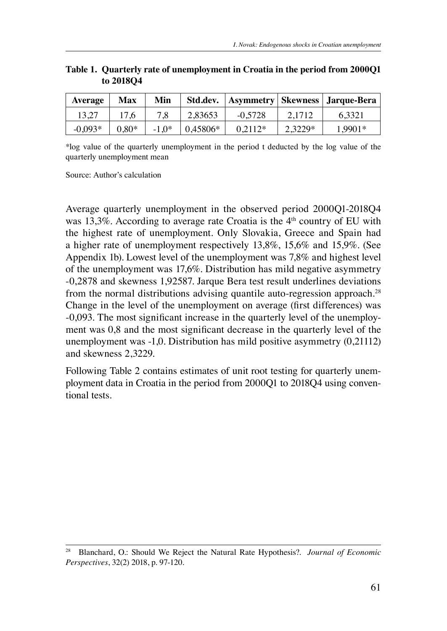| Average   | Max     | Min     |          |           |         | Std.dev.   Asymmetry   Skewness   Jarque-Bera |
|-----------|---------|---------|----------|-----------|---------|-----------------------------------------------|
| 13.27     | 17.6    | 7.8     | 2.83653  | $-0.5728$ | 2.1712  | 6.3321                                        |
| $-0.093*$ | $0.80*$ | $-1.0*$ | 0.45806* | $0.2112*$ | 2.3229* | 1.9901*                                       |

#### **Table 1. Quarterly rate of unemployment in Croatia in the period from 2000Q1 to 2018Q4**

\*log value of the quarterly unemployment in the period t deducted by the log value of the quarterly unemployment mean

Source: Author's calculation

Average quarterly unemployment in the observed period 2000Q1-2018Q4 was 13,3%. According to average rate Croatia is the  $4<sup>th</sup>$  country of EU with the highest rate of unemployment. Only Slovakia, Greece and Spain had a higher rate of unemployment respectively 13,8%, 15,6% and 15,9%. (See Appendix 1b). Lowest level of the unemployment was 7,8% and highest level of the unemployment was 17,6%. Distribution has mild negative asymmetry -0,2878 and skewness 1,92587. Jarque Bera test result underlines deviations from the normal distributions advising quantile auto-regression approach.<sup>28</sup> Change in the level of the unemployment on average (first differences) was -0,093. The most significant increase in the quarterly level of the unemployment was 0,8 and the most significant decrease in the quarterly level of the unemployment was -1,0. Distribution has mild positive asymmetry (0,21112) and skewness 2,3229.

Following Table 2 contains estimates of unit root testing for quarterly unemployment data in Croatia in the period from 2000Q1 to 2018Q4 using conventional tests.

<sup>28</sup> Blanchard, O.: Should We Reject the Natural Rate Hypothesis?. *Journal of Economic Perspectives*, 32(2) 2018, p. 97-120.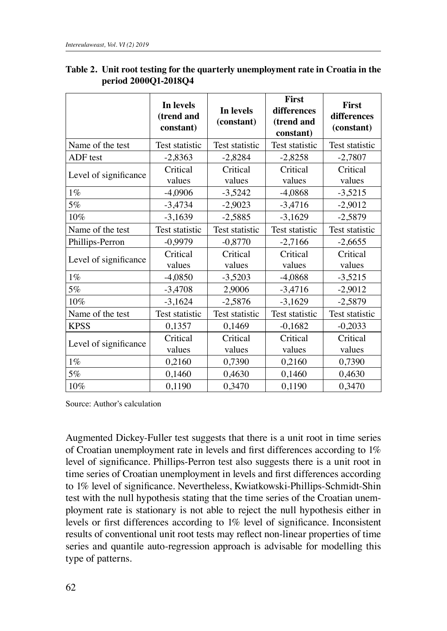|                       | In levels<br>(trend and<br>constant) | In levels<br>(constant) | <b>First</b><br>differences<br>(trend and<br>constant) | First<br>differences<br>(constant) |
|-----------------------|--------------------------------------|-------------------------|--------------------------------------------------------|------------------------------------|
| Name of the test      | Test statistic                       | Test statistic          | Test statistic                                         | Test statistic                     |
| ADF test              | $-2,8363$                            | $-2,8284$               | $-2,8258$                                              | $-2,7807$                          |
| Level of significance | Critical<br>values                   | Critical<br>values      | Critical<br>values                                     | Critical<br>values                 |
| $1\%$                 | $-4,0906$                            | $-3,5242$               | $-4,0868$                                              | $-3,5215$                          |
| 5%                    | $-3,4734$                            | $-2,9023$               | $-3,4716$                                              | $-2,9012$                          |
| $10\%$                | $-3,1639$                            | $-2,5885$               | $-3,1629$                                              | $-2,5879$                          |
| Name of the test      | Test statistic                       | Test statistic          | Test statistic                                         | Test statistic                     |
| Phillips-Perron       | $-0,9979$                            | $-0,8770$               | $-2,7166$                                              | $-2,6655$                          |
| Level of significance | Critical<br>values                   | Critical<br>values      | Critical<br>values                                     | Critical<br>values                 |
| $1\%$                 | $-4,0850$                            | $-3,5203$               | $-4,0868$                                              | $-3,5215$                          |
| 5%                    | $-3,4708$                            | 2,9006                  | $-3,4716$                                              | $-2,9012$                          |
| $10\%$                | $-3,1624$                            | $-2,5876$               | $-3,1629$                                              | $-2,5879$                          |
| Name of the test      | Test statistic                       | Test statistic          | Test statistic                                         | Test statistic                     |
| <b>KPSS</b>           | 0,1357                               | 0,1469                  | $-0,1682$                                              | $-0,2033$                          |
|                       | Critical                             | Critical                | Critical                                               | Critical                           |
| Level of significance | values                               | values                  | values                                                 | values                             |
| $1\%$                 | 0,2160                               | 0,7390                  | 0,2160                                                 | 0,7390                             |
| 5%                    | 0,1460                               | 0,4630                  | 0,1460                                                 | 0,4630                             |
| 10%                   | 0,1190                               | 0,3470                  | 0,1190                                                 | 0,3470                             |

#### **Table 2. Unit root testing for the quarterly unemployment rate in Croatia in the period 2000Q1-2018Q4**

Source: Author's calculation

Augmented Dickey-Fuller test suggests that there is a unit root in time series of Croatian unemployment rate in levels and first differences according to 1% level of significance. Phillips-Perron test also suggests there is a unit root in time series of Croatian unemployment in levels and first differences according to 1% level of significance. Nevertheless, Kwiatkowski-Phillips-Schmidt-Shin test with the null hypothesis stating that the time series of the Croatian unemployment rate is stationary is not able to reject the null hypothesis either in levels or first differences according to 1% level of significance. Inconsistent results of conventional unit root tests may reflect non-linear properties of time series and quantile auto-regression approach is advisable for modelling this type of patterns.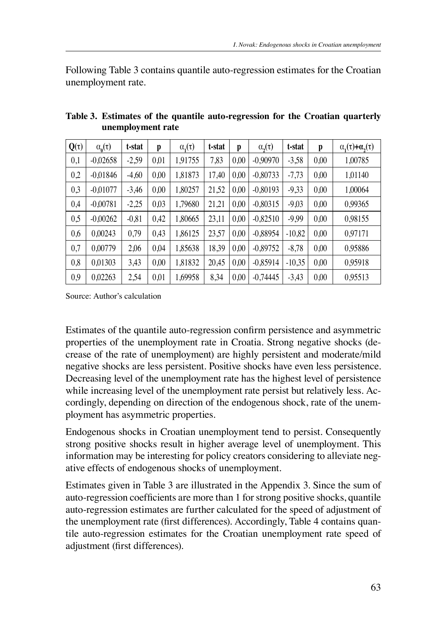Following Table 3 contains quantile auto-regression estimates for the Croatian unemployment rate.

| $Q(\tau)$ | $\alpha_{n}(\tau)$ | t-stat  | p    | $\alpha_{i}(\tau)$ | t-stat | p    | $\alpha$ <sub>2</sub> $(\tau)$ | t-stat   | p    | $\alpha_{1}(\tau)+\alpha_{2}(\tau)$ |
|-----------|--------------------|---------|------|--------------------|--------|------|--------------------------------|----------|------|-------------------------------------|
| 0,1       | $-0,02658$         | $-2,59$ | 0,01 | 1,91755            | 7,83   | 0,00 | $-0.90970$                     | $-3,58$  | 0,00 | 1,00785                             |
| 0,2       | $-0,01846$         | $-4,60$ | 0,00 | 1,81873            | 17,40  | 0,00 | $-0,80733$                     | $-7,73$  | 0,00 | 1,01140                             |
| 0,3       | $-0.01077$         | $-3,46$ | 0,00 | 1,80257            | 21,52  | 0,00 | $-0,80193$                     | $-9,33$  | 0,00 | 1,00064                             |
| 0,4       | $-0.00781$         | $-2,25$ | 0,03 | 1.79680            | 21,21  | 0.00 | $-0.80315$                     | $-9,03$  | 0.00 | 0.99365                             |
| 0,5       | $-0,00262$         | $-0,81$ | 0,42 | 1,80665            | 23,11  | 0,00 | $-0,82510$                     | $-9.99$  | 0,00 | 0,98155                             |
| 0,6       | 0,00243            | 0.79    | 0.43 | 1.86125            | 23,57  | 0.00 | $-0.88954$                     | $-10,82$ | 0.00 | 0.97171                             |
| 0,7       | 0,00779            | 2,06    | 0,04 | 1,85638            | 18,39  | 0,00 | $-0,89752$                     | $-8,78$  | 0,00 | 0,95886                             |
| 0,8       | 0.01303            | 3,43    | 0.00 | 1.81832            | 20,45  | 0.00 | $-0,85914$                     | $-10.35$ | 0.00 | 0.95918                             |
| 0,9       | 0,02263            | 2,54    | 0.01 | 1.69958            | 8,34   | 0,00 | $-0,74445$                     | $-3,43$  | 0,00 | 0,95513                             |

**Table 3. Estimates of the quantile auto-regression for the Croatian quarterly unemployment rate** 

Source: Author's calculation

Estimates of the quantile auto-regression confirm persistence and asymmetric properties of the unemployment rate in Croatia. Strong negative shocks (decrease of the rate of unemployment) are highly persistent and moderate/mild negative shocks are less persistent. Positive shocks have even less persistence. Decreasing level of the unemployment rate has the highest level of persistence while increasing level of the unemployment rate persist but relatively less. Accordingly, depending on direction of the endogenous shock, rate of the unemployment has asymmetric properties.

Endogenous shocks in Croatian unemployment tend to persist. Consequently strong positive shocks result in higher average level of unemployment. This information may be interesting for policy creators considering to alleviate negative effects of endogenous shocks of unemployment.

Estimates given in Table 3 are illustrated in the Appendix 3. Since the sum of auto-regression coefficients are more than 1 for strong positive shocks, quantile auto-regression estimates are further calculated for the speed of adjustment of the unemployment rate (first differences). Accordingly, Table 4 contains quantile auto-regression estimates for the Croatian unemployment rate speed of adjustment (first differences).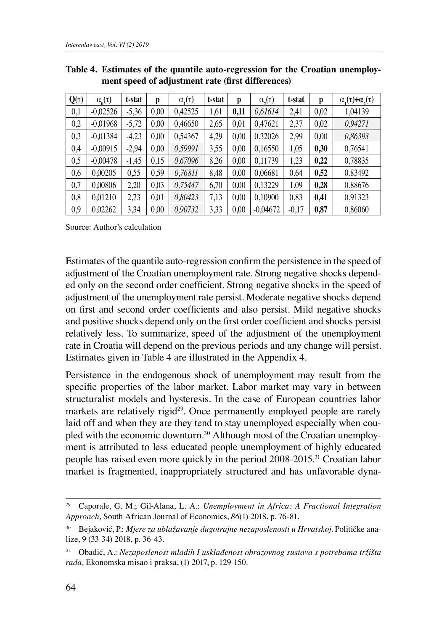| $Q(\tau)$ | $\alpha_{\alpha}(\tau)$ | t-stat  | p    | $\alpha_{i}(\tau)$ | t-stat | p    | $\alpha$ <sub>2</sub> $(\tau)$ | t-stat  | p    | $\alpha_{1}(\tau)+\alpha_{2}(\tau)$ |
|-----------|-------------------------|---------|------|--------------------|--------|------|--------------------------------|---------|------|-------------------------------------|
| 0,1       | $-0,02526$              | $-5.36$ | 0.00 | 0,42525            | 1,61   | 0,11 | 0,61614                        | 2.41    | 0,02 | 1.04139                             |
| 0,2       | $-0.01968$              | $-5.72$ | 0.00 | 0.46650            | 2,65   | 0,01 | 0,47621                        | 2,37    | 0,02 | 0,94271                             |
| 0,3       | $-0.01384$              | $-4.23$ | 0.00 | 0,54367            | 4,29   | 0.00 | 0,32026                        | 2,99    | 0.00 | 0,86393                             |
| 0,4       | $-0.00915$              | $-2.94$ | 0.00 | 0.59991            | 3,55   | 0.00 | 0,16550                        | 1.05    | 0.30 | 0,76541                             |
| 0,5       | $-0.00478$              | $-1,45$ | 0.15 | 0.67096            | 8,26   | 0.00 | 0,11739                        | 1,23    | 0,22 | 0,78835                             |
| 0,6       | 0.00205                 | 0.55    | 0.59 | 0.76811            | 8.48   | 0.00 | 0.06681                        | 0.64    | 0,52 | 0,83492                             |
| 0,7       | 0,00806                 | 2.20    | 0.03 | 0,75447            | 6,70   | 0.00 | 0,13229                        | 1.09    | 0.28 | 0,88676                             |
| 0,8       | 0.01210                 | 2.73    | 0.01 | 0.80423            | 7,13   | 0.00 | 0,10900                        | 0.83    | 0,41 | 0.91323                             |
| 0.9       | 0.02262                 | 3.34    | 0.00 | 0,90732            | 3.33   | 0.00 | $-0.04672$                     | $-0.17$ | 0.87 | 0.86060                             |

**Table 4. Estimates of the quantile auto-regression for the Croatian unemployment speed of adjustment rate (first differences)**

Source: Author's calculation

Estimates of the quantile auto-regression confirm the persistence in the speed of adjustment of the Croatian unemployment rate. Strong negative shocks depended only on the second order coefficient. Strong negative shocks in the speed of adjustment of the unemployment rate persist. Moderate negative shocks depend on first and second order coefficients and also persist. Mild negative shocks and positive shocks depend only on the first order coefficient and shocks persist relatively less. To summarize, speed of the adjustment of the unemployment rate in Croatia will depend on the previous periods and any change will persist. Estimates given in Table 4 are illustrated in the Appendix 4.

Persistence in the endogenous shock of unemployment may result from the specific properties of the labor market. Labor market may vary in between structuralist models and hysteresis. In the case of European countries labor markets are relatively rigid<sup>29</sup>. Once permanently employed people are rarely laid off and when they are they tend to stay unemployed especially when coupled with the economic downturn.<sup>30</sup> Although most of the Croatian unemployment is attributed to less educated people unemployment of highly educated people has raised even more quickly in the period 2008-2015.31 Croatian labor market is fragmented, inappropriately structured and has unfavorable dyna-

<sup>29</sup> Caporale, G. M.; Gil‐Alana, L. A.: *Unemployment in Africa: A Fractional Integration Approach,* South African Journal of Economics, *86*(1) 2018, p. 76-81.

<sup>30</sup> Bejaković, P.: *Mjere za ublažavanje dugotrajne nezaposlenosti u Hrvatskoj*. Političke analize, 9 (33-34) 2018, p. 36-43.

<sup>31</sup> Obadić, A.: *Nezaposlenost mladih I usklađenost obrazovnog sustava s potrebama tržišta rada,* Ekonomska misao i praksa, (1) 2017, p. 129-150.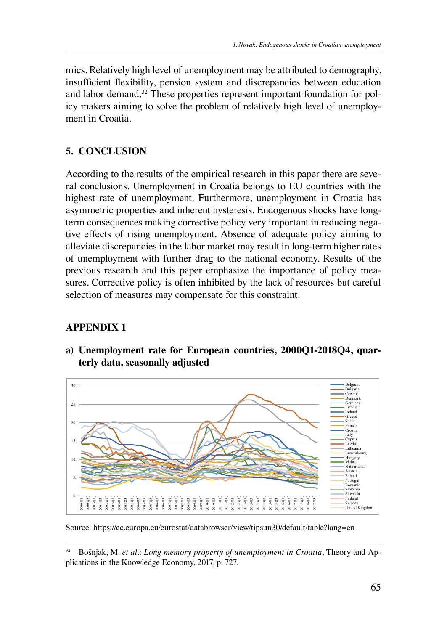mics. Relatively high level of unemployment may be attributed to demography, insufficient flexibility, pension system and discrepancies between education and labor demand.32 These properties represent important foundation for policy makers aiming to solve the problem of relatively high level of unemployment in Croatia.

### **5. CONCLUSION**

According to the results of the empirical research in this paper there are several conclusions. Unemployment in Croatia belongs to EU countries with the highest rate of unemployment. Furthermore, unemployment in Croatia has asymmetric properties and inherent hysteresis. Endogenous shocks have longterm consequences making corrective policy very important in reducing negative effects of rising unemployment. Absence of adequate policy aiming to alleviate discrepancies in the labor market may result in long-term higher rates of unemployment with further drag to the national economy. Results of the previous research and this paper emphasize the importance of policy measures. Corrective policy is often inhibited by the lack of resources but careful selection of measures may compensate for this constraint.

### **APPENDIX 1**

**a) Unemployment rate for European countries, 2000Q1-2018Q4, quarterly data, seasonally adjusted** 



Source: https://ec.europa.eu/eurostat/databrowser/view/tipsun30/default/table?lang=en Source: https://ec.europa.eu/eurostat/databrowser/view/tipsun30/default/table?lang=en

<sup>&</sup>lt;sup>32</sup> Bošnjak, M. *et al.: Long memory property of unemployment in Croatia*, Theory and Applications in the Knowledge Economy, 2017, p. 727.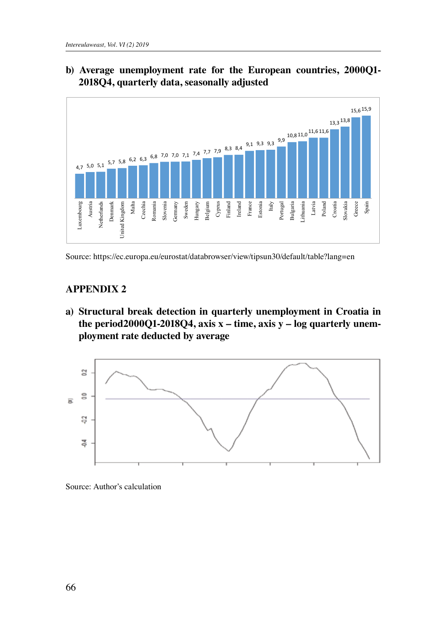

# **b) Average unemployment rate for the European countries, 2000Q1- 2018Q4, quarterly data, seasonally adjusted** b) Average unemployment rate for the European countries, 2000Q1-2018Q4, quarterly data, seasonally adjusted

Source: https://ec.europa.eu/eurostat/databrowser/view/tipsun30/default/table?lang=en Source: https://ec.europa.eu/eurostat/databrowser/view/tipsun30/default/table?lang=en

### **APPENDIX 2**

a) Structural break detection in quarterly unemployment in Croatia in the period2000Q1-2018Q4, axis x – time, axis y – log quarterly unem**ployment rate deducted by average**



Source: Author's calculation Source: Author's calculation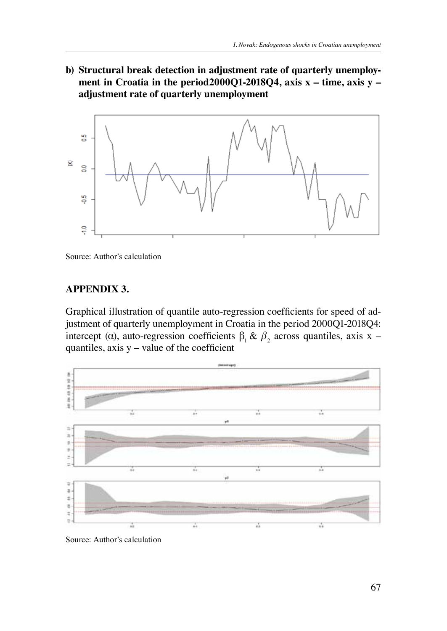**b) Structural break detection in adjustment rate of quarterly unemploy**ment in Croatia in the period2000Q1-2018Q4, axis x – time, axis y – ment in Croatia in the period2000Q1-2010Q1, and in adjustment period in the period2000Q1-2010Q1, and in the period2000 2018Q4, axis x – time, axis y – adjustment rate of quarterly unemployment



Source: Author's calculation Source: Author's calculation

### **APPENDIX 3.**

Source: Author's calculation

Graphical illustration of quantile auto-regression coefficients for speed of adjustment of quarterly unemployment in Croatia in the period 2000Q1-2018Q4: intercept (α), auto-regression coefficients  $\beta_1 \& \beta_2$  across quantiles, axis x – quantiles, axis  $y$  – value of the coefficient



Source: Author's calculation Source: Author's calculation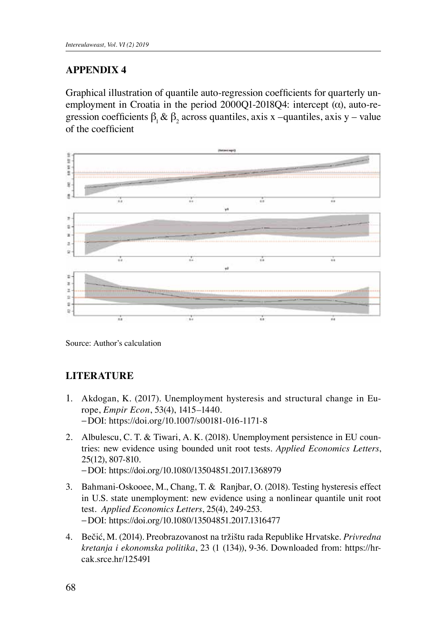## **APPENDIX 4**

Graphical illustration of quantile auto-regression coefficients for quarterly unemployment in Croatia in the period 2000Q1-2018Q4: intercept  $(\alpha)$ , auto-regression coefficients  $\beta_1 \& \beta_2$  across quantiles, axis x -quantiles, axis y - value of the coefficient or the coefficient



Source: Author's calculation

### **LITERATURE**

- 1. Akdogan, K. (2017). Unemployment hysteresis and structural change in Europe, *Empir Econ*, 53(4), 1415–1440. −DOI: https://doi.org/10.1007/s00181-016-1171-8
- 2. Albulescu, C. T. & Tiwari, A. K. (2018). Unemployment persistence in EU countries: new evidence using bounded unit root tests. *Applied Economics Letters*, 25(12), 807-810. −DOI: https://doi.org/10.1080/13504851.2017.1368979
- 3. Bahmani-Oskooee, M., Chang, T. & Ranjbar, O. (2018). Testing hysteresis effect in U.S. state unemployment: new evidence using a nonlinear quantile unit root test. *Applied Economics Letters*, 25(4), 249-253. −DOI: https://doi.org/10.1080/13504851.2017.1316477
- 4. Bečić, M. (2014). Preobrazovanost na tržištu rada Republike Hrvatske. *Privredna kretanja i ekonomska politika*, 23 (1 (134)), 9-36. Downloaded from: https://hrcak.srce.hr/125491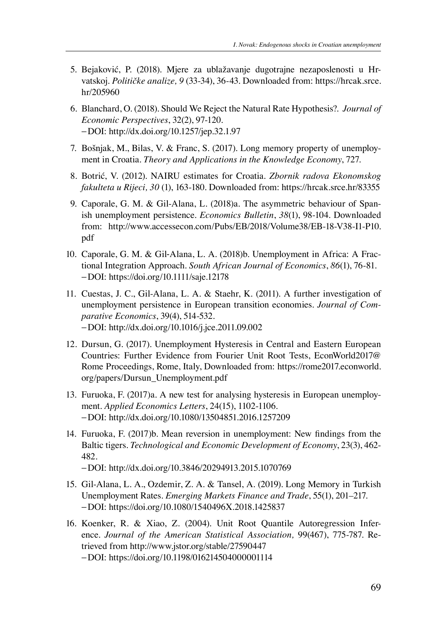- 5. Bejaković, P. (2018). Mjere za ublažavanje dugotrajne nezaposlenosti u Hrvatskoj. *Političke analize, 9* (33-34), 36-43. Downloaded from: https://hrcak.srce. hr/205960
- 6. Blanchard, O. (2018). Should We Reject the Natural Rate Hypothesis?. *Journal of Economic Perspectives*, 32(2), 97-120. −DOI: http://dx.doi.org/10.1257/jep.32.1.97
- 7. Bošnjak, M., Bilas, V. & Franc, S. (2017). Long memory property of unemployment in Croatia. *Theory and Applications in the Knowledge Economy*, 727.
- 8. Botrić, V. (2012). NAIRU estimates for Croatia. *Zbornik radova Ekonomskog fakulteta u Rijeci, 30* (1), 163-180. Downloaded from: https://hrcak.srce.hr/83355
- 9. Caporale, G. M. & Gil-Alana, L. (2018)a. The asymmetric behaviour of Spanish unemployment persistence. *Economics Bulletin*, *38*(1), 98-104. Downloaded from: http://www.accessecon.com/Pubs/EB/2018/Volume38/EB-18-V38-I1-P10. pdf
- 10. Caporale, G. M. & Gil‐Alana, L. A. (2018)b. Unemployment in Africa: A Fractional Integration Approach. *South African Journal of Economics*, *86*(1), 76-81. −DOI: https://doi.org/10.1111/saje.12178
- 11. Cuestas, J. C., Gil-Alana, L. A. & Staehr, K. (2011). A further investigation of unemployment persistence in European transition economies. *Journal of Comparative Economics*, 39(4), 514-532. −DOI: http://dx.doi.org/10.1016/j.jce.2011.09.002
- 12. Dursun, G. (2017). Unemployment Hysteresis in Central and Eastern European Countries: Further Evidence from Fourier Unit Root Tests, EconWorld2017@ Rome Proceedings, Rome, Italy, Downloaded from: https://rome2017.econworld. org/papers/Dursun\_Unemployment.pdf
- 13. Furuoka, F. (2017)a. A new test for analysing hysteresis in European unemployment. *Applied Economics Letters*, 24(15), 1102-1106. −DOI: http://dx.doi.org/10.1080/13504851.2016.1257209
- 14. Furuoka, F. (2017)b. Mean reversion in unemployment: New findings from the Baltic tigers. *Technological and Economic Development of Economy*, 23(3), 462- 482.

 −DOI: http://dx.doi.org/10.3846/20294913.2015.1070769

- 15. Gil-Alana, L. A., Ozdemir, Z. A. & Tansel, A. (2019). Long Memory in Turkish Unemployment Rates. *Emerging Markets Finance and Trade*, 55(1), 201–217. −DOI: https://doi.org/10.1080/1540496X.2018.1425837
- 16. Koenker, R. & Xiao, Z. (2004). Unit Root Quantile Autoregression Inference. *Journal of the American Statistical Association,* 99(467), 775-787. Retrieved from http://www.jstor.org/stable/27590447 −DOI: https://doi.org/10.1198/016214504000001114